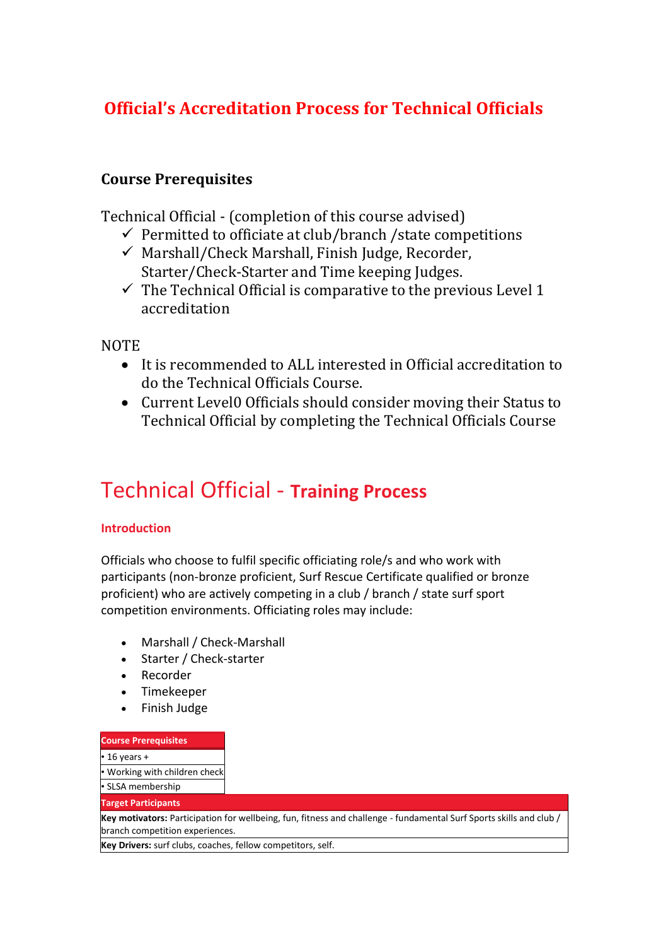## **Official's Accreditation Process for Technical Officials**

## **Course Prerequisites**

Technical Official - (completion of this course advised)

- $\checkmark$  Permitted to officiate at club/branch / state competitions
- $\checkmark$  Marshall/Check Marshall, Finish Judge, Recorder, Starter/Check-Starter and Time keeping Judges.
- $\checkmark$  The Technical Official is comparative to the previous Level 1 accreditation

**NOTE** 

- It is recommended to ALL interested in Official accreditation to do the Technical Officials Course.
- Current Level0 Officials should consider moving their Status to Technical Official by completing the Technical Officials Course

# Technical Official - **Training Process**

#### **Introduction**

Officials who choose to fulfil specific officiating role/s and who work with participants (non-bronze proficient, Surf Rescue Certificate qualified or bronze proficient) who are actively competing in a club / branch / state surf sport competition environments. Officiating roles may include:

- Marshall / Check-Marshall
- Starter / Check-starter
- Recorder
- Timekeeper
- Finish Judge

#### **Course Prerequisites**

#### $\cdot$  16 years +

• Working with children check

• SLSA membership

#### **Target Participants**

**Key motivators:** Participation for wellbeing, fun, fitness and challenge - fundamental Surf Sports skills and club / branch competition experiences.

**Key Drivers:** surf clubs, coaches, fellow competitors, self.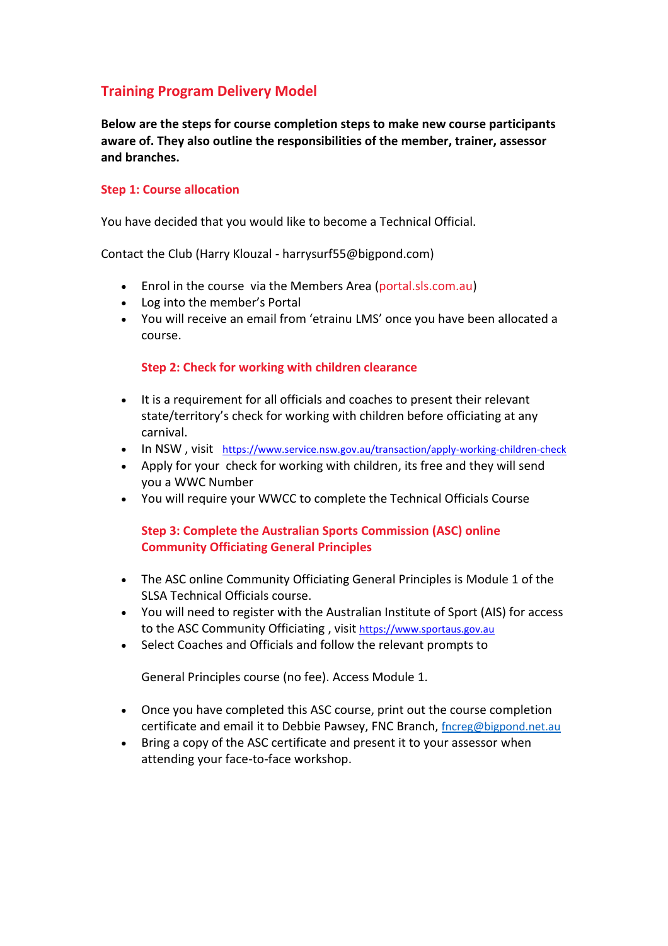### **Training Program Delivery Model**

**Below are the steps for course completion steps to make new course participants aware of. They also outline the responsibilities of the member, trainer, assessor and branches.** 

#### **Step 1: Course allocation**

You have decided that you would like to become a Technical Official.

Contact the Club (Harry Klouzal - harrysurf55@bigpond.com)

- Enrol in the course via the Members Area (portal.sls.com.au)
- Log into the member's Portal
- You will receive an email from 'etrainu LMS' once you have been allocated a course.

#### **Step 2: Check for working with children clearance**

- It is a requirement for all officials and coaches to present their relevant state/territory's check for working with children before officiating at any carnival.
- In NSW, visit <https://www.service.nsw.gov.au/transaction/apply-working-children-check>
- Apply for your check for working with children, its free and they will send you a WWC Number
- You will require your WWCC to complete the Technical Officials Course

#### **Step 3: Complete the Australian Sports Commission (ASC) online Community Officiating General Principles**

- The ASC online Community Officiating General Principles is Module 1 of the SLSA Technical Officials course.
- You will need to register with the Australian Institute of Sport (AIS) for access to the ASC Community Officiating , visit [https://www.sportaus.gov.au](https://www.sportaus.gov.au/)
- Select Coaches and Officials and follow the relevant prompts to

General Principles course (no fee). Access Module 1.

- Once you have completed this ASC course, print out the course completion certificate and email it to Debbie Pawsey, FNC Branch, [fncreg@bigpond.net.au](mailto:fncreg@bigpond.net.au)
- Bring a copy of the ASC certificate and present it to your assessor when attending your face-to-face workshop.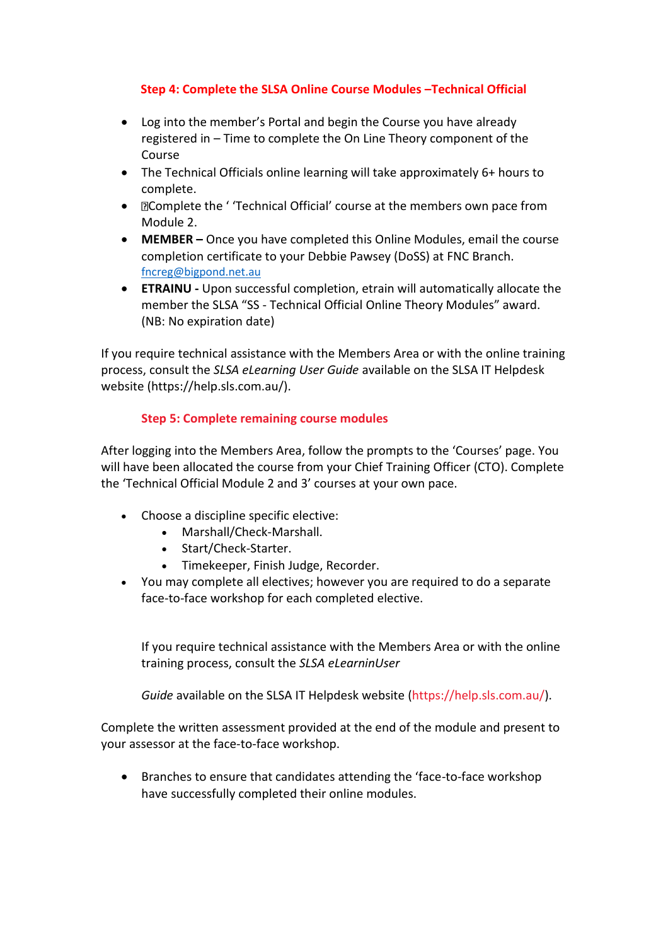#### **Step 4: Complete the SLSA Online Course Modules –Technical Official**

- Log into the member's Portal and begin the Course you have already registered in – Time to complete the On Line Theory component of the Course
- The Technical Officials online learning will take approximately 6+ hours to complete.
- **Elcomplete the 'Technical Official' course at the members own pace from** Module 2.
- **MEMBER –** Once you have completed this Online Modules, email the course completion certificate to your Debbie Pawsey (DoSS) at FNC Branch. [fncreg@bigpond.net.au](mailto:fncreg@bigpond.net.au)
- **ETRAINU -** Upon successful completion, etrain will automatically allocate the member the SLSA "SS - Technical Official Online Theory Modules" award. (NB: No expiration date)

If you require technical assistance with the Members Area or with the online training process, consult the *SLSA eLearning User Guide* available on the SLSA IT Helpdesk website (https://help.sls.com.au/).

#### **Step 5: Complete remaining course modules**

After logging into the Members Area, follow the prompts to the 'Courses' page. You will have been allocated the course from your Chief Training Officer (CTO). Complete the 'Technical Official Module 2 and 3' courses at your own pace.

- Choose a discipline specific elective:
	- Marshall/Check-Marshall.
	- Start/Check-Starter.
	- Timekeeper, Finish Judge, Recorder.
- You may complete all electives; however you are required to do a separate face-to-face workshop for each completed elective.

If you require technical assistance with the Members Area or with the online training process, consult the *SLSA eLearninUser* 

*Guide* available on the SLSA IT Helpdesk website (https://help.sls.com.au/).

Complete the written assessment provided at the end of the module and present to your assessor at the face-to-face workshop.

• Branches to ensure that candidates attending the 'face-to-face workshop have successfully completed their online modules.